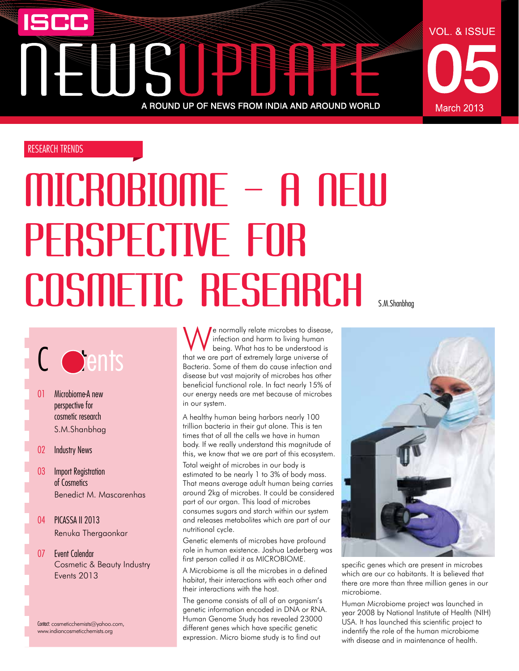# ISCC EUSIPE A ROUND UP OF NEWS FROM INDIA AND AROUND WORLD

# RESEARCH TRENDS

# MICROBIOME – A New perspective for COSMETIC RESEARCH

# C oents

01 Microbiome-A new perspective for cosmetic research S.M.Shanbhag

# 02 Industry News

- 03 Import Registration of Cosmetics Benedict M. Mascarenhas
- 04 PICASSA II 2013 Renuka Thergaonkar
- 07 Event Calendar Cosmetic & Beauty Industry Events 2013

Contact: cosmeticchemists@yahoo.com, www.indiancosmeticchemists.org

We normally relate microbes to disease,<br>
being. What has to be understood is<br>
that we get a factor only large universe of infection and harm to living human being. What has to be understood is that we are part of extremely large universe of Bacteria. Some of them do cause infection and disease but vast majority of microbes has other beneficial functional role. In fact nearly 15% of our energy needs are met because of microbes in our system.

A healthy human being harbors nearly 100 trillion bacteria in their gut alone. This is ten times that of all the cells we have in human body. If we really understand this magnitude of this, we know that we are part of this ecosystem.

Total weight of microbes in our body is estimated to be nearly 1 to 3% of body mass. That means average adult human being carries around 2kg of microbes. It could be considered part of our organ. This load of microbes consumes sugars and starch within our system and releases metabolites which are part of our nutritional cycle.

Genetic elements of microbes have profound role in human existence. Joshua Lederberg was first person called it as MICROBIOME.

A Microbiome is all the microbes in a defined habitat, their interactions with each other and their interactions with the host.

The genome consists of all of an organism's genetic information encoded in DNA or RNA. Human Genome Study has revealed 23000 different genes which have specific genetic expression. Micro biome study is to find out

**VOL. & ISSUE** 

March 2013



specific genes which are present in microbes which are our co habitants. It is believed that there are more than three million genes in our microbiome.

Human Microbiome project was launched in year 2008 by National Institute of Health (NIH) USA. It has launched this scientific project to indentify the role of the human microbiome with disease and in maintenance of health.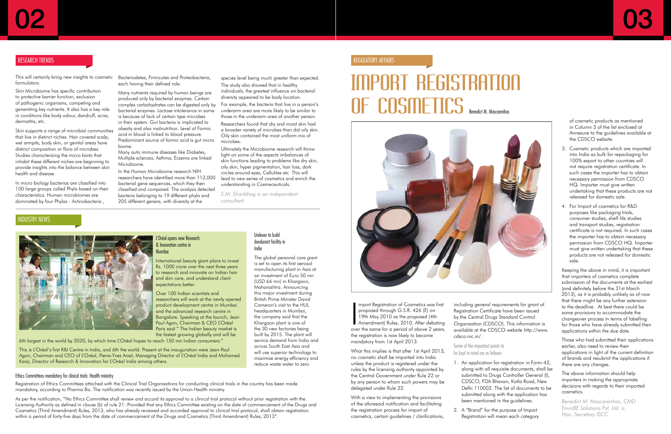# Import Registration **OF COSME LICS** Benedict M. Mascarenhas



mport Registration of Cosmetics was first<br>proposed through G.S.R. 426 (E) on<br>19th May 2010 as the proposed (4th<br>Amendment) Rules, 2010. After debating<br>over the same for a period of above 2 years, mport Registration of Cosmetics was first proposed through G.S.R. 426 (E) on 19th May 2010 as the proposed (4th Amendment) Rules, 2010. After debating the registration is now likely to become mandatory from 1st April 2013.

What this implies is that after 1st April 2013, no cosmetic shall be imported into India unless the product is registered under the rules by the licensing authority appointed by the Central Government under Rule 22 or by any person to whom such powers may be delegated under Rule 22.

With a view to implementing the provisions of the aforesaid notification and facilitating the registration process for import of cosmetics, certain guidelines / clarifications, including general requirements for grant of Registration Certificate have been issued by the Central Drugs Standard Control Organization (CDSCO). This information is available at the CDSCO website http://www. cdsco.nic.in/ .

Some of the important points to be kept in mind are as follows-

- 
- 



1. An application for registration in Form-42, along with all requisite documents, shall be submitted to Drugs Controller General (I), CDSCO, FDA Bhavan, Kotla Road, New Delhi 110002. The list of documents to be submitted along with the application has been mentioned in the guidelines.

2. A "Brand" for the purpose of Import Registration will mean each category

of cosmetic products as mentioned in Column 3 of the list enclosed at Annexure to the guidelines available at the CDSCO website.

- 3. Cosmetic products which are imported into India as bulk for repackaging for 100% export to other countries will not require registration certificate. In such cases the importer has to obtain necessary permission from CDSCO HQ. Importer must give written undertaking that these products are not released for domestic sale.
- 4. For Import of cosmetics for R&D purposes like packaging trials, consumer studies, shelf life studies and transport studies, registration certificate is not required. In such cases the importer has to obtain necessary permission from CDSCO HQ. Importer must give written undertaking that these products are not released for domestic sale.

Keeping the above in mind, it is important that importers of cosmetics complete submission of the documents at the earliest (and definitely before the 31st March 2013), as it is probably unlikely as of now that there might be any further extension to the deadline. At best there could be some provisions to accommodate the changeover process in terms of labelling for those who have already submitted their applications within the due date.

Those who had submitted their applications earlier, also need to review their applications in light of the current definition of brands and resubmit the applications if there are any changes.

The above information should help importers in making the appropriate decisions with regards to their imported cosmetics.

*Benedict M. Mascarenhas, CMD EnvisBE Solutions Pvt. Ltd. is Hon. Secretary ISCC*

# Regulatory Affairs

This will certainly bring new insights to cosmetic Bacteriodetes, Firmicutes and Proteobacteria, formulators.

Skin Microbiome has specific contribution to protective barrier function, exclusion of pathogenic organisms, competing and generating key nutrients. It also has a key role in conditions like body odour, dandruff, acne, dermatitis, etc.

Skin supports a range of microbial communities that live in distinct niches. Hair covered scalp, wet armpits, body skin, or genital areas have distinct composition or flora of microbes. Studies characterizing the micro biota that inhabit these different niches are beginning to provide insights into the balance between skin health and disease.

As per the notification, "No Ethics Committee shall review and accord its approval to a clinical trial protocol without prior registration with the Licensing Authority as defined in clause (b) of rule 21: Provided that any Ethics Committee existing on the date of commencement of the Drugs and Cosmetics (Third Amendment) Rules, 2013, who has already reviewed and accorded approval to clinical trial protocol, shall obtain registration within a period of forty-five days from the date of commencement of the Drugs and Cosmetics (Third Amendment) Rules, 2013".

In micro biology bacterias are classified into 100 large groups called Phyla based on their characteristics. Human microbiomes are dominated by four Phylas - Actinobacteria ,

# NDUSTRY NEWS



each having their defined role.

Many nutrients required by human beings are

### produced only by bacterial enzymes. Certain complex carbohydrates can be digested only by bacterial enzymes. Lactose intolerance in some is because of lack of certain type microbes

in their system. Gut bacteria is implicated to obesity and also malnutrition. Level of Formic acid in blood is linked to blood pressure. Predominant source of formic acid is gut micro biome.

Many auto immune diseases like Diabetes, Multiple sclerosis, Asthma, Eczema are linked Microbiome.

In the Human Microbiome research NIH researchers have identified more than 112,000 bacterial gene sequences, which they then classified and compared. The analysis detected bacteria belonging to 19 different phyla and 205 different genera, with diversity at the

species level being much greater than expected.

The study also showed that in healthy individuals, the greatest influence on bacterial diversity appeared to be body location.

For example, the bacteria that live in a person's underarm area are more likely to be similar to those in the underarm area of another person.

Researchers found that dry and moist skin had a broader variety of microbes than did oily skin. Oily skin contained the most uniform mix of microbes.

Ultimately the Microbiome research will throw light on some of the aspects imbalances of skin functions leading to problems like dry skin, oily skin, hyper pigmentation, hair loss, dark circles around eyes, Cellulites etc This will lead to new series of cosmetics and enrich the understanding in Cosmeceuticals.

*S.M. Shanbhag is an independent consultant*

# RESEARCH TRENDS

# L'Oréal opens new Research & Innovation centre in

Mumbai

International beauty giant plans to invest Rs. 1000 crore over the next three years to research and innovate on Indian hair and skin care, and understand client expectations better.

Over 100 Indian scientists and researchers will work at the newly opened product development centre in Mumbai and the advanced research centre in Bangalore. Speaking at the launch, Jean Paul Agon, Chairman & CEO L'Oréal Paris said " The Indian beauty market is the fastest growing globally and will be

6th largest in the world by 2020, by which time L'Oréal hopes to reach 150 mn Indian consumers."

This is L'Oréal's first R&I Centre in India, and 6th the world. Present at the inauguration were Jean-Paul Agon, Chairman and CEO of L'Oréal, Pierre-Yves Arzel, Managing Director of L'Oréal India and Mohamed Kanji, Director of Research & Innovation for L'Oréal India among others.

### Ethics Committees mandatory for clinical trials: Health ministry

Registration of Ethics Committees attached with the Clinical Trial Organisations for conducting clinical trials in the country has been made mandatory, according to Pharma Biz. The notification was recently issued by the Union Health ministry.

### Unilever to build deodorant facility in India

The global personal care giant is set to open its first aerosol manufacturing plant in Asia at an investment of Euro 50 mn (USD 66 mn) in Khargaon, Maharashtra. Announcing this major investment during British Prime Minister David Cameron's visit to the HUL headquarters in Mumbai, the company said that the Khargaon plant is one of the 30 new factories being built by 2015. The plant will service demand from India and across South East Asia and will use superior technology to maximize energy efficiency and reduce waste water to zero.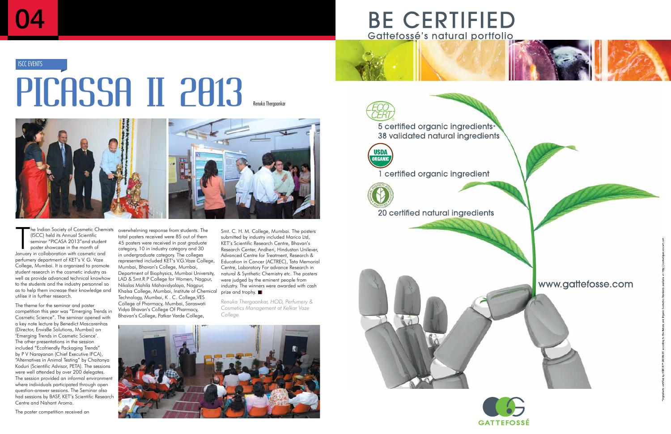# PICASSA II 2013 **ISCC EVENTS**



The Indian Society of Cosmetic Chem<br>(ISCC) held its Annual Scientific<br>seminar "PICASA 2013" and student<br>poster showcase in the month of<br>January in collaboration with cosmetic and he Indian Society of Cosmetic Chemists (ISCC) held its Annual Scientific seminar "PICASA 2013"and student poster showcase in the month of perfumery department of KET's V. G. Vaze College, Mumbai. It is organized to promote student research in the cosmetic industry as well as provide advanced technical knowhow to the students and the industry personnel so as to help them increase their knowledge and utilise it in further research.

The theme for the seminar and poster competition this year was "Emerging Trends in Cosmetic Science". The seminar opened with a key note lecture by Benedict Mascarenhas (Director, EnvisBe Solutions, Mumbai) on 'Emerging Trends in Cosmetic Science'. The other presentations in the session included "Ecofriendly Packaging Trends" by P V Narayanan (Chief Executive IFCA), "Alternatives in Animal Testing" by Chaitanya Koduri (Scientific Advisor, PETA). The sessions were well attended by over 200 delegates. The session provided an informal environment where individuals participated through open question-answer sessions. The Seminar also had sessions by BASF, KET's Scientific Research Centre and Nishant Aroma.

The poster competition received an

overwhelming response from students. The total posters received were 85 out of them 45 posters were received in post graduate category, 10 in industry category and 30 in undergraduate category. The colleges represented included KET's V.G.Vaze College, Mumbai, Bhavan's College, Mumbai, Department of Biophysics, Mumbai University, LAD & Smt.R P College for Women, Nagpur, Nikalas Mahila Mahavidyalaya, Nagpur, Khalsa College, Mumbai, Institute of Chemical prize and trophy. Technology, Mumbai, K . C. College,VES College of Pharmacy, Mumbai, Saraswati Vidya Bhavan's College Of Pharmacy, Bhavan's College, Patkar Varde College,

Smt. C. H. M. College, Mumbai. The posters submitted by industry included Marico Ltd, KET's Scientific Research Centre, Bhavan's Research Center, Andheri, Hindustan Unilever, Advanced Centre for Treatment, Research & Education in Cancer (ACTREC), Tata Memorial Centre, Laboratory For advance Research in natural & Synthetic Chemistry etc. The posters were judged by the eminent people from industry. The winners were awarded with cash

*Renuka Thergaonkar, HOD, Perfumery & Cosmetics Management at Kelkar Vaze College*









5 certified organic ingredients\* 38 validated natural ingredients



1 certified organic ingredient



20 certified natural ingredients





# www.gattefosse.com

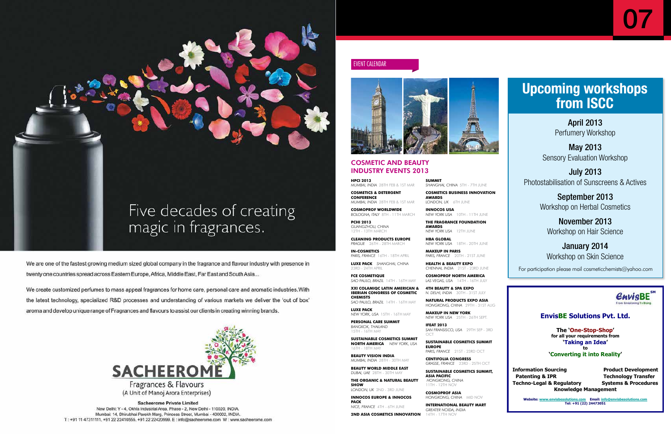

We are one of the fastest growing medium sized global company in the fragrance and flavour industry with presence in twenty one countries spread across Eastern Europe, Africa, Middle East, Far East and South Asia...

We create customized perfumes to mass appeal fragrances for home care, personal care and aromatic industries. With the latest technology, specialized R&D processes and understanding of various markets we deliver the 'out of box' aroma and develop unique range of Fragrances and flavours to assist our clients in creating winning brands.



**Sacheerome Private Limited** 

New Delhi: Y - 4, Okhla Industrial Area, Phase - 2, New Delhi - 110020, INDIA. Mumbai: 14, Dhirubhai Parekh Marg, Princess Street, Mumbai - 400002, INDIA. T: +91 11 47311111, +91 22 22410555, +91 22 22420999. E: info@sacheerome.com W: www.sacheerome.com



# **EnvisBE Solutions Pvt. Ltd.**

The 'One-Stop-Shop' for all your requirements from 'Taking an Idea' to 'Converting it into Reality'

07

**Information Sourcing Froduct Development Patenting & IPR Technology Transfer** Techno-Legal & Regulatory Systems & Procedures **Knowledge Management** 

Website: <u>www.envisbesolutions.com</u> Email: <u>info@envisbesolutions.com</u><br>Tel: +91 (22) 24473051

**HPCI 2013**  *MUMBAI, INDIA* 28TH FEB & 1ST MAR

**COSMETICS & DETERGENT CONFERENCE** *MUMBAI, INDIA* 28TH FEB & 1ST MAR

**COSMOPROF WORLDWIDE** *BOLOGNA, ITALY* 8TH - 11TH MARCH

**PCHI 2013**  *GUANGZHOU, CHINA* 12TH - 13TH MARCH

**CLEANING PRODUCTS EUROPE**  *PRAGUE* 26TH - 28TH MARCH

**IN-COSMETICS** *PARIS, FRANCE* 16TH - 18TH APRIL **LUXE PACK** *SHANGHAI, CHINA*

**INNOCOS USA**<br>*NEW YORK USA* 10TH - 11TH JUNE **NEW YORK USA THE FRAGRANCE FOUNDATION** 

23RD - 24TH APRIL **FCE COSMETIQUE** *SAO PAULO, BRAZIL* 14TH - 16TH MAY

**XXI COLAMIQC LATIN AMERICAN & IBERIAN CONGRESS OF COSMETIC CHEMISTS** *SAO PAULO, BRAZIL* 14TH - 16TH MAY

**LUXE PACK**  *NEW YORK, USA* 15TH - 16TH MAY

**PERSONAL CARE SUMMIT**

*BANGKOK, THAILAND* 15TH - 16TH MAY **SUSTAINABLE COSMETICS SUMMIT** 

**NORTH AMERICA** *NEW YORK, USA* 16TH - 18TH MAY **BEAUTY VISION INDIA** 

*MUMBAI, INDIA* 28TH - 30TH MAY **BEAUTY WORLD MIDDLE EAST**

*DUBAI, UAE* 28TH - 30TH MAY **THE ORGANIC & NATURAL BEAUTY** 

**SHOW** *LONDON, UK* 2ND - 3RD JUNE

**INNOCOS EUROPE & INNOCOS PACK** *NICE, FRANCE* 4TH - 6TH JUNE

**2ND ASIA COSMETICS INNOVATION** 

**SUMMIT** 

*SHANGHAI, CHINA* 5TH - 7TH JUNE **COSMETICS BUSINESS INNOVATION** 

**AWARDS**

*LONDON, UK* 6TH JUNE

**AWARDS** *NEW YORK USA* 12TH JUNE

**HBA GLOBAL**

*NEW YORK USA* 18TH - 20TH JUNE

**MAKEUP IN PARIS** 

*PARIS, FRANCE* 20TH - 21ST JUNE **HEALTH & BEAUTY EXPO** 

*CHENNAI, INDIA* 21ST - 23RD JUNE **COSMOPROF NORTH AMERICA** *LAS VEGAS, USA* 14TH - 16TH JULY

**4TH BEAUTY & SPA EXPO** *N. DELHI, INDIA* 30TH - 31ST JULY

**NATURAL PRODUCTS EXPO ASIA** *HONGKONG, CHINA* 29TH - 31ST AUG

**MAKEUP IN NEW YORK** *NEW YORK USA* 25TH - 26TH SEPT.

**IFEAT 2013** *SAN FRANSISCO, USA* 29TH SEP - 3RD OCT

**SUSTAINABLE COSMETICS SUMMIT EUROPE** *PARIS, FRANCE* 21ST - 23RD OCT

**CENTIFOLIA CONGRESS**  *GRASSE, FRANCE* 23RD - 25TH OCT

**SUSTAINABLE COSMETICS SUMMIT, ASIA PACIFIC**  *HONGKONG, CHINA* 11TH - 12TH NOV

**COSMOPROF ASIA**  *HONGKONG, CHINA* MID NOV

**INTERNATIONAL BEAUTY MART**  *GREATER NOIDA, INDIA* 14TH - 17TH NOV

# COSMETIC AND BEAUTY INDUSTRY EVENTS 2013

event calendar



# **Upcoming workshops from ISCC**

April 2013 Perfumery Workshop

May 2013 Sensory Evaluation Workshop

July 2013 Photostabilisation of Sunscreens & Actives

> September 2013 Workshop on Herbal Cosmetics

November 2013 Workshop on Hair Science

# January 2014 Workshop on Skin Science

For participation please mail cosmeticchemists@yahoo.com